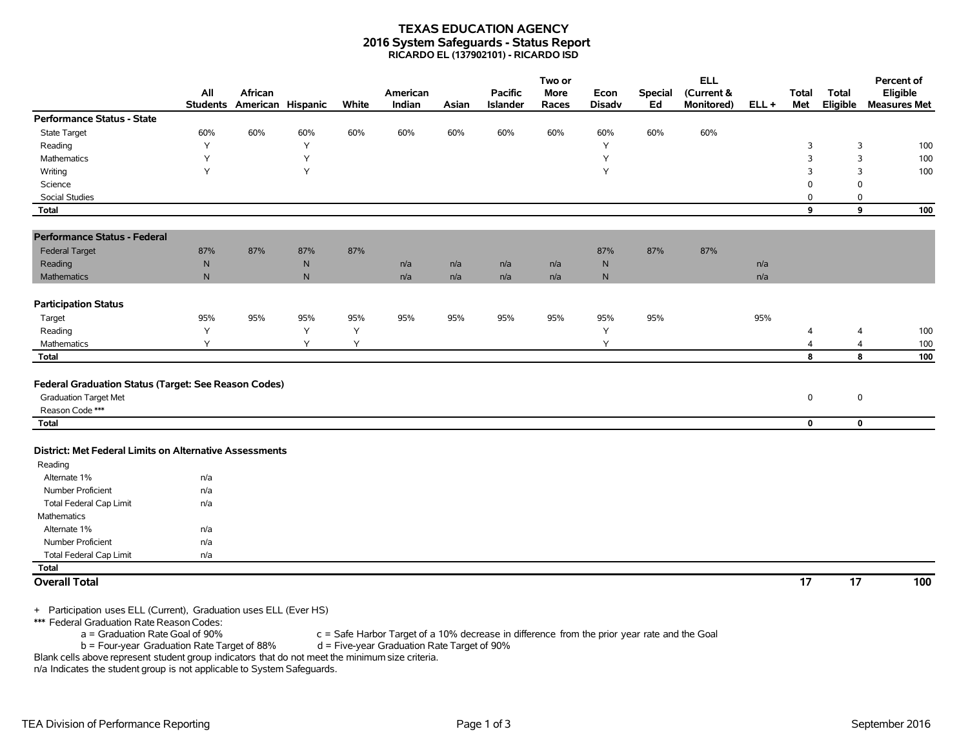## **TEXAS EDUCATION AGENCY 2016 System Safeguards - Status Report RICARDO EL (137902101) - RICARDO ISD**

|                                                         | All                                | African           |                         |       | American |       | <b>Pacific</b>  | Two or<br><b>More</b> | Econ          | <b>Special</b> | <b>ELL</b><br>(Current & |         | <b>Total</b>    | Total           | Percent of<br>Eligible |
|---------------------------------------------------------|------------------------------------|-------------------|-------------------------|-------|----------|-------|-----------------|-----------------------|---------------|----------------|--------------------------|---------|-----------------|-----------------|------------------------|
|                                                         | <b>Students</b>                    | American Hispanic |                         | White | Indian   | Asian | <b>Islander</b> | Races                 | <b>Disadv</b> | Ed             | Monitored)               | $ELL +$ | Met             | Eligible        | <b>Measures Met</b>    |
| Performance Status - State                              |                                    |                   |                         |       |          |       |                 |                       |               |                |                          |         |                 |                 |                        |
| <b>State Target</b>                                     | 60%                                | 60%               | 60%                     | 60%   | 60%      | 60%   | 60%             | 60%                   | 60%           | 60%            | 60%                      |         |                 |                 |                        |
| Reading                                                 | Y                                  |                   | Y                       |       |          |       |                 |                       | Y             |                |                          |         | 3               | 3               | 100                    |
| Mathematics                                             | Y                                  |                   | Y                       |       |          |       |                 |                       | Y             |                |                          |         | 3               | 3               | 100                    |
| Writing                                                 | Y                                  |                   | Y                       |       |          |       |                 |                       | Y             |                |                          |         | 3               | 3               | 100                    |
| Science                                                 |                                    |                   |                         |       |          |       |                 |                       |               |                |                          |         | $\mathbf 0$     | $\mathbf 0$     |                        |
| <b>Social Studies</b>                                   |                                    |                   |                         |       |          |       |                 |                       |               |                |                          |         | 0               | 0               |                        |
| Total                                                   |                                    |                   |                         |       |          |       |                 |                       |               |                |                          |         | 9               | 9               | 100                    |
|                                                         |                                    |                   |                         |       |          |       |                 |                       |               |                |                          |         |                 |                 |                        |
| <b>Performance Status - Federal</b>                     |                                    |                   |                         |       |          |       |                 |                       |               |                |                          |         |                 |                 |                        |
| <b>Federal Target</b>                                   | 87%                                | 87%               | 87%                     | 87%   |          |       |                 |                       | 87%           | 87%            | 87%                      |         |                 |                 |                        |
| Reading                                                 | ${\sf N}$                          |                   | ${\sf N}$               |       | n/a      | n/a   | n/a             | n/a                   | ${\sf N}$     |                |                          | n/a     |                 |                 |                        |
| <b>Mathematics</b>                                      | $\mathsf{N}$                       |                   | $\mathsf{N}$            |       | n/a      | n/a   | n/a             | n/a                   | N             |                |                          | n/a     |                 |                 |                        |
| <b>Participation Status</b>                             |                                    |                   |                         |       |          |       |                 |                       |               |                |                          |         |                 |                 |                        |
| Target                                                  | 95%                                | 95%               | 95%                     | 95%   | 95%      | 95%   | 95%             | 95%                   | 95%           | 95%            |                          | 95%     |                 |                 |                        |
| Reading                                                 | Y                                  |                   | Y                       | Υ     |          |       |                 |                       | Y             |                |                          |         | 4               | 4               | 100                    |
| Mathematics                                             | Υ                                  |                   | Y                       | Y     |          |       |                 |                       | Y             |                |                          |         | 4               | 4               | 100                    |
| Total                                                   |                                    |                   |                         |       |          |       |                 |                       |               |                |                          |         | 8               | 8               | 100                    |
|                                                         |                                    |                   |                         |       |          |       |                 |                       |               |                |                          |         |                 |                 |                        |
| Federal Graduation Status (Target: See Reason Codes)    |                                    |                   |                         |       |          |       |                 |                       |               |                |                          |         |                 |                 |                        |
| <b>Graduation Target Met</b>                            |                                    |                   |                         |       |          |       |                 |                       |               |                |                          |         | $\mathbf 0$     | $\mathbf 0$     |                        |
| Reason Code ***                                         |                                    |                   |                         |       |          |       |                 |                       |               |                |                          |         |                 |                 |                        |
| Total                                                   |                                    |                   |                         |       |          |       |                 |                       |               |                |                          |         | $\mathbf 0$     | $\mathbf 0$     |                        |
|                                                         |                                    |                   |                         |       |          |       |                 |                       |               |                |                          |         |                 |                 |                        |
| District: Met Federal Limits on Alternative Assessments |                                    |                   |                         |       |          |       |                 |                       |               |                |                          |         |                 |                 |                        |
| Reading                                                 |                                    |                   |                         |       |          |       |                 |                       |               |                |                          |         |                 |                 |                        |
| Alternate 1%                                            | n/a                                |                   |                         |       |          |       |                 |                       |               |                |                          |         |                 |                 |                        |
| Number Proficient                                       | n/a                                |                   |                         |       |          |       |                 |                       |               |                |                          |         |                 |                 |                        |
| <b>Total Federal Cap Limit</b>                          | n/a                                |                   |                         |       |          |       |                 |                       |               |                |                          |         |                 |                 |                        |
| Mathematics                                             |                                    |                   |                         |       |          |       |                 |                       |               |                |                          |         |                 |                 |                        |
| Alternate 1%                                            | n/a                                |                   |                         |       |          |       |                 |                       |               |                |                          |         |                 |                 |                        |
| Number Proficient                                       | n/a                                |                   |                         |       |          |       |                 |                       |               |                |                          |         |                 |                 |                        |
| <b>Total Federal Cap Limit</b>                          | n/a                                |                   |                         |       |          |       |                 |                       |               |                |                          |         |                 |                 |                        |
| <b>Total</b>                                            |                                    |                   |                         |       |          |       |                 |                       |               |                |                          |         |                 |                 |                        |
| <b>Overall Total</b>                                    |                                    |                   |                         |       |          |       |                 |                       |               |                |                          |         | $\overline{17}$ | $\overline{17}$ | 100                    |
|                                                         |                                    |                   |                         |       |          |       |                 |                       |               |                |                          |         |                 |                 |                        |
| .<br>$-11/2$                                            | $\sim$ $\sim$ $\sim$ $\sim$ $\sim$ |                   | $-1$ $\leftarrow$ $100$ |       |          |       |                 |                       |               |                |                          |         |                 |                 |                        |

+ Participation uses ELL (Current), Graduation uses ELL (Ever HS)

\*\*\* Federal Graduation Rate Reason Codes:

a = Graduation Rate Goal of 90% c = Safe Harbor Target of a 10% decrease in difference from the prior year rate and the Goal<br>b = Four-year Graduation Rate Target of 88% d = Five-year Graduation Rate Target of 90%

 $b = Four-year Gradient Rate Target of 88%$ 

Blank cells above represent student group indicators that do not meet the minimum size criteria. n/a Indicates the student group is not applicable to System Safeguards.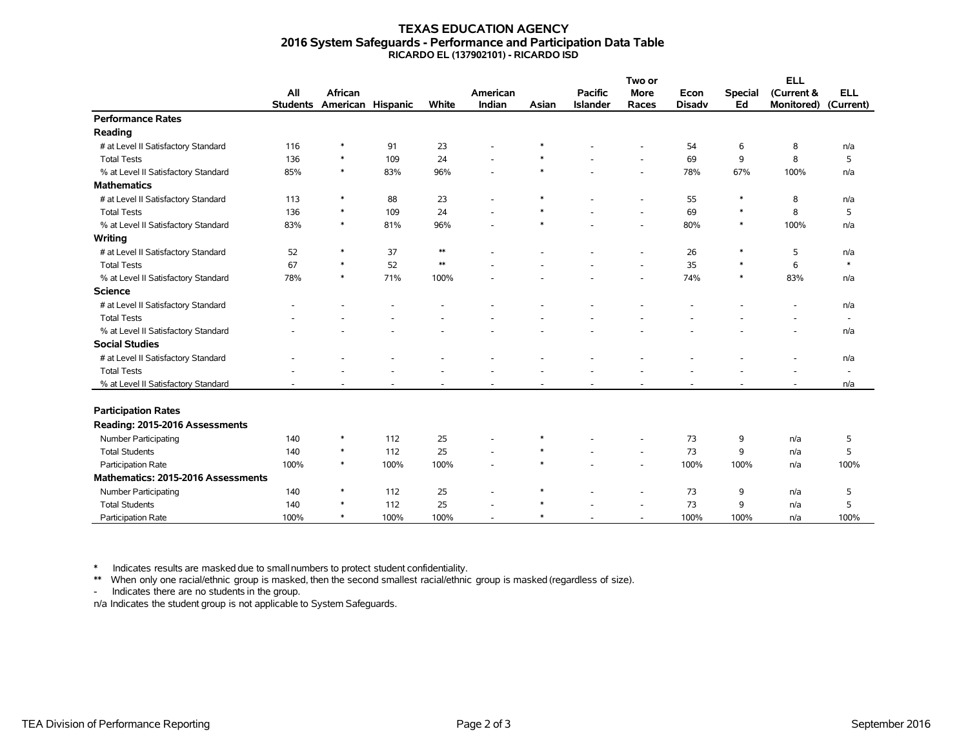## **TEXAS EDUCATION AGENCY 2016 System Safeguards - Performance and Participation Data Table RICARDO EL (137902101) - RICARDO ISD**

|                                     |                 |                   |      |            |                |        |                 | Two or                   |               |                | <b>ELL</b>        |                          |
|-------------------------------------|-----------------|-------------------|------|------------|----------------|--------|-----------------|--------------------------|---------------|----------------|-------------------|--------------------------|
|                                     | All             | <b>African</b>    |      |            | American       |        | <b>Pacific</b>  | <b>More</b>              | Econ          | <b>Special</b> | (Current &        | <b>ELL</b>               |
|                                     | <b>Students</b> | American Hispanic |      | White      | Indian         | Asian  | <b>Islander</b> | Races                    | <b>Disadv</b> | Ed             | <b>Monitored)</b> | (Current)                |
| <b>Performance Rates</b>            |                 |                   |      |            |                |        |                 |                          |               |                |                   |                          |
| Reading                             |                 |                   |      |            |                |        |                 |                          |               |                |                   |                          |
| # at Level II Satisfactory Standard | 116             | $\ast$            | 91   | 23         |                |        |                 |                          | 54            | 6              | 8                 | n/a                      |
| <b>Total Tests</b>                  | 136             | $\ast$            | 109  | 24         |                |        |                 | $\overline{\phantom{a}}$ | 69            | 9              | 8                 | 5                        |
| % at Level II Satisfactory Standard | 85%             | $\ast$            | 83%  | 96%        |                | $\ast$ |                 | $\overline{\phantom{a}}$ | 78%           | 67%            | 100%              | n/a                      |
| <b>Mathematics</b>                  |                 |                   |      |            |                |        |                 |                          |               |                |                   |                          |
| # at Level II Satisfactory Standard | 113             | *                 | 88   | 23         | $\blacksquare$ | $\ast$ |                 | ٠                        | 55            | ∗              | 8                 | n/a                      |
| <b>Total Tests</b>                  | 136             | $\ast$            | 109  | 24         |                | $\ast$ |                 | ÷.                       | 69            | $\ast$         | 8                 | 5                        |
| % at Level II Satisfactory Standard | 83%             | $\ast$            | 81%  | 96%        |                | $\ast$ |                 | $\overline{\phantom{a}}$ | 80%           | $\ast$         | 100%              | n/a                      |
| Writing                             |                 |                   |      |            |                |        |                 |                          |               |                |                   |                          |
| # at Level II Satisfactory Standard | 52              | $\ast$            | 37   | $\ast\ast$ |                |        |                 | $\overline{a}$           | 26            | $\ast$         | 5                 | n/a                      |
| <b>Total Tests</b>                  | 67              | $\ast$            | 52   | $\ast\ast$ |                |        |                 | $\overline{\phantom{a}}$ | 35            | $\ast$         | 6                 | $\ast$                   |
| % at Level II Satisfactory Standard | 78%             | $\ast$            | 71%  | 100%       |                |        |                 | $\overline{\phantom{a}}$ | 74%           | $\ast$         | 83%               | n/a                      |
| <b>Science</b>                      |                 |                   |      |            |                |        |                 |                          |               |                |                   |                          |
| # at Level II Satisfactory Standard |                 |                   |      |            |                |        |                 |                          |               |                |                   | n/a                      |
| <b>Total Tests</b>                  |                 |                   |      |            |                |        |                 |                          |               |                |                   | $\overline{\phantom{a}}$ |
| % at Level II Satisfactory Standard |                 |                   |      |            |                |        |                 |                          |               |                |                   | n/a                      |
| <b>Social Studies</b>               |                 |                   |      |            |                |        |                 |                          |               |                |                   |                          |
| # at Level II Satisfactory Standard |                 |                   |      |            |                |        |                 |                          |               |                |                   | n/a                      |
| <b>Total Tests</b>                  |                 |                   |      |            |                |        |                 |                          |               |                |                   | $\overline{\phantom{a}}$ |
| % at Level II Satisfactory Standard |                 |                   |      |            |                |        |                 |                          |               |                |                   | n/a                      |
|                                     |                 |                   |      |            |                |        |                 |                          |               |                |                   |                          |
| <b>Participation Rates</b>          |                 |                   |      |            |                |        |                 |                          |               |                |                   |                          |
| Reading: 2015-2016 Assessments      |                 |                   |      |            |                |        |                 |                          |               |                |                   |                          |
| <b>Number Participating</b>         | 140             | $\ast$            | 112  | 25         |                | $\ast$ |                 | ٠                        | 73            | 9              | n/a               | 5                        |
| <b>Total Students</b>               | 140             | $\ast$            | 112  | 25         |                | $\ast$ |                 | $\overline{a}$           | 73            | 9              | n/a               | 5                        |
| Participation Rate                  | 100%            | $\ast$            | 100% | 100%       |                | $\ast$ |                 | $\overline{\phantom{a}}$ | 100%          | 100%           | n/a               | 100%                     |
| Mathematics: 2015-2016 Assessments  |                 |                   |      |            |                |        |                 |                          |               |                |                   |                          |
| Number Participating                | 140             | $\ast$            | 112  | 25         |                | $\ast$ |                 | $\overline{\phantom{a}}$ | 73            | 9              | n/a               | 5                        |
| <b>Total Students</b>               | 140             | $\ast$            | 112  | 25         |                | $\ast$ |                 | ÷,                       | 73            | 9              | n/a               | 5                        |
| Participation Rate                  | 100%            | $\ast$            | 100% | 100%       |                | $\ast$ |                 | ٠                        | 100%          | 100%           | n/a               | 100%                     |

\* Indicates results are masked due to smallnumbers to protect student confidentiality.

\*\* When only one racial/ethnic group is masked, then the second smallest racial/ethnic group is masked (regardless of size).

- Indicates there are no students in the group.

n/a Indicates the student group is not applicable to System Safeguards.